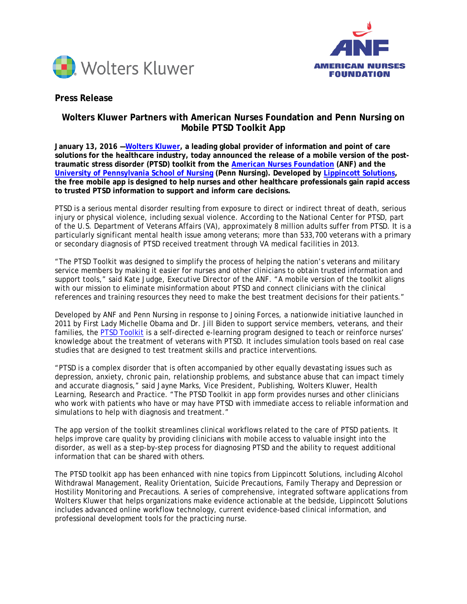



# **Press Release**

# **Wolters Kluwer Partners with American Nurses Foundation and Penn Nursing on Mobile PTSD Toolkit App**

**January 13, 2016 [—Wolters Kluwer,](http://www.wolterskluwerhealth.com/pages/welcome.aspx) a leading global provider of information and point of care solutions for the healthcare industry, today announced the release of a mobile version of the posttraumatic stress disorder (PTSD) toolkit from the [American Nurses Foundation](http://www.anfonline.org/) (ANF) and the [University of Pennsylvania School of Nursing](http://www.nursing.upenn.edu/) (Penn Nursing). Developed by [Lippincott Solutions,](http://lippincottsolutions.com/?refid=ptsdpr&promo=ptsdpr) the free mobile app is designed to help nurses and other healthcare professionals gain rapid access to trusted PTSD information to support and inform care decisions.**

PTSD is a serious mental disorder resulting from exposure to direct or indirect threat of death, serious injury or physical violence, including sexual violence. According to the National Center for PTSD, part of the U.S. Department of Veterans Affairs (VA), approximately 8 million adults suffer from PTSD. It is a particularly significant mental health issue among veterans; more than 533,700 veterans with a primary or secondary diagnosis of PTSD received treatment through VA medical facilities in 2013.

"The PTSD Toolkit was designed to simplify the process of helping the nation's veterans and military service members by making it easier for nurses and other clinicians to obtain trusted information and support tools," said Kate Judge, Executive Director of the ANF. "A mobile version of the toolkit aligns with our mission to eliminate misinformation about PTSD and connect clinicians with the clinical references and training resources they need to make the best treatment decisions for their patients."

Developed by ANF and Penn Nursing in response to Joining Forces, a nationwide initiative launched in 2011 by First Lady Michelle Obama and Dr. Jill Biden to support service members, veterans, and their families, the [PTSD Toolkit](http://www.nurseptsdtoolkit.org/) is a self-directed e-learning program designed to teach or reinforce nurses' knowledge about the treatment of veterans with PTSD. It includes simulation tools based on real case studies that are designed to test treatment skills and practice interventions.

"PTSD is a complex disorder that is often accompanied by other equally devastating issues such as depression, anxiety, chronic pain, relationship problems, and substance abuse that can impact timely and accurate diagnosis," said Jayne Marks, Vice President, Publishing, Wolters Kluwer, Health Learning, Research and Practice. "The PTSD Toolkit in app form provides nurses and other clinicians who work with patients who have or may have PTSD with immediate access to reliable information and simulations to help with diagnosis and treatment."

The app version of the toolkit streamlines clinical workflows related to the care of PTSD patients. It helps improve care quality by providing clinicians with mobile access to valuable insight into the disorder, as well as a step-by-step process for diagnosing PTSD and the ability to request additional information that can be shared with others.

The PTSD toolkit app has been enhanced with nine topics from Lippincott Solutions, including Alcohol Withdrawal Management, Reality Orientation, Suicide Precautions, Family Therapy and Depression or Hostility Monitoring and Precautions. A series of comprehensive, integrated software applications from Wolters Kluwer that helps organizations make evidence actionable at the bedside, Lippincott Solutions includes advanced online workflow technology, current evidence-based clinical information, and professional development tools for the practicing nurse.